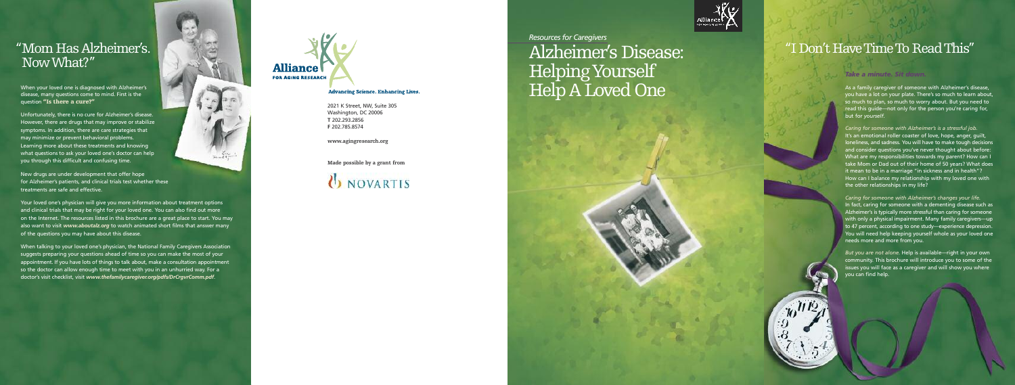2021 K Street, NW, Suite 305 Washington, DC 20006 **T** 2 0 2 . 2 9 3 . 2 8 5 6 **F** 2 0 2 . 7 8 5 . 8 5 7 4

**www.agingresearch.org** 

**Made possible by a grant from** 

# **UNOVARTIS**



*Resources* for Caregivers

# " I D on 't H ave Time To Re a d Thi s "

# *Ta ke a m in u te . Si t do wn*

As a family caregiver of someone with Alzheimer's disease, you have a lot on your plate. There's so much to learn about, so much to plan, so much to worry about. But you need to read this guide—not only for the person you're caring for, but for *yourself.* 

*.*

Caring for someone with Alzheimer's is a stressful job. It's an emotional roller coaster of love, hope, anger, guilt, loneliness, and sadness. You will have to make tough decisions and consider questions you've never thought about before: What are my responsibilities towards my parent? How can I take Mom or Dad out of their home of 50 years? What does it mean to be in a marriage "in sickness and in health"? How can I balance my relationship with my loved one with the other relationships in my life?

Caring for someone with Alzheimer's changes your life. In fact, caring for someone with a dementing disease such as Alzheimer's is typically more stressful than caring for someone with only a physical impairment. Many family caregivers—up to 47 percent, according to one study—experience depression. You will need help keeping yourself whole as your loved one needs more and more from you.

*But you are not alone.* Help is available—right in your own community. This brochure will introduce you to some of the issues you will face as a caregiver and will show you where y o u c a n f i n d h e l p .

 $h^{11/2}$ 

# Alzheimer's Disease: H elp ing Yo urs elf H elp A L ove d O ne

# " M om H a s Al zheimer's . N ow Wh at?"

When your loved one is diagnosed with Alzheimer's disease, many questions come to mind. First is the question "Is there a cure?"

Unfortunately, there is no cure for Alzheimer's disease. However, there are drugs that may improve or stabilize symptoms. In addition, there are care strategies that may minimize or prevent behavioral problems. Learning more about these treatments and knowing what questions to ask your loved one's doctor can help you through this difficult and confusing time.

New drugs are under development that offer hope for Alzheimer's patients, and clinical trials test whether these treatments are safe and effective.

Your loved one's physician will give you more information about treatment options and clinical trials that may be right for your loved one. You can also find out more on the Internet. The resources listed in this brochure are a great place to start. You may also want to visit *www.aboutalz.org* to watch animated short films that answer many of the questions you may have about this disease.

 $20 - 44.7$ 

When talking to your loved one's physician, the National Family Caregivers Association suggests preparing your questions ahead of time so you can make the most of your appointment. If you have lots of things to talk about, make a consultation appointment so the doctor can allow enough time to meet with you in an unhurried way. For a doctor's visit checklist, visit *www.thefamilycaregiver.org/pdfs/DrCrgvrComm.pdf*.



### **Advancing Science. Enhancing Lives.**